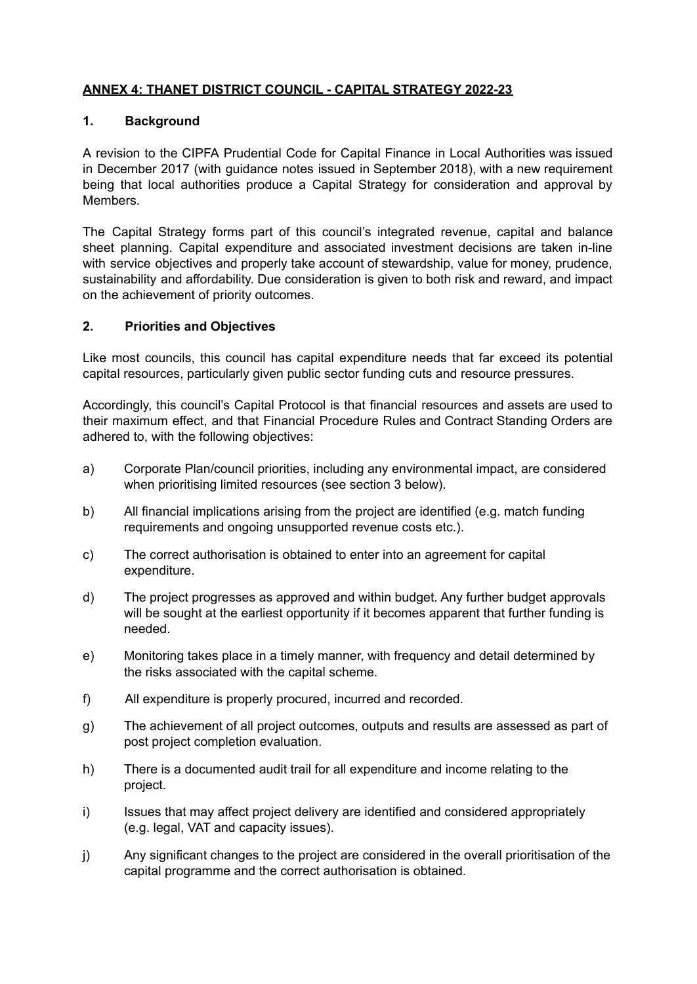# **ANNEX 4: THANET DISTRICT COUNCIL - CAPITAL STRATEGY 2022-23**

# **1. Background**

A revision to the CIPFA Prudential Code for Capital Finance in Local Authorities was issued in December 2017 (with guidance notes issued in September 2018), with a new requirement being that local authorities produce a Capital Strategy for consideration and approval by Members.

The Capital Strategy forms part of this council's integrated revenue, capital and balance sheet planning. Capital expenditure and associated investment decisions are taken in-line with service objectives and properly take account of stewardship, value for money, prudence, sustainability and affordability. Due consideration is given to both risk and reward, and impact on the achievement of priority outcomes.

## **2. Priorities and Objectives**

Like most councils, this council has capital expenditure needs that far exceed its potential capital resources, particularly given public sector funding cuts and resource pressures.

Accordingly, this council's Capital Protocol is that financial resources and assets are used to their maximum effect, and that Financial Procedure Rules and Contract Standing Orders are adhered to, with the following objectives:

- a) Corporate Plan/council priorities, including any environmental impact, are considered when prioritising limited resources (see section 3 below).
- b) All financial implications arising from the project are identified (e.g. match funding requirements and ongoing unsupported revenue costs etc.).
- c) The correct authorisation is obtained to enter into an agreement for capital expenditure.
- d) The project progresses as approved and within budget. Any further budget approvals will be sought at the earliest opportunity if it becomes apparent that further funding is needed.
- e) Monitoring takes place in a timely manner, with frequency and detail determined by the risks associated with the capital scheme.
- f) All expenditure is properly procured, incurred and recorded.
- g) The achievement of all project outcomes, outputs and results are assessed as part of post project completion evaluation.
- h) There is a documented audit trail for all expenditure and income relating to the project.
- i) Issues that may affect project delivery are identified and considered appropriately (e.g. legal, VAT and capacity issues).
- j) Any significant changes to the project are considered in the overall prioritisation of the capital programme and the correct authorisation is obtained.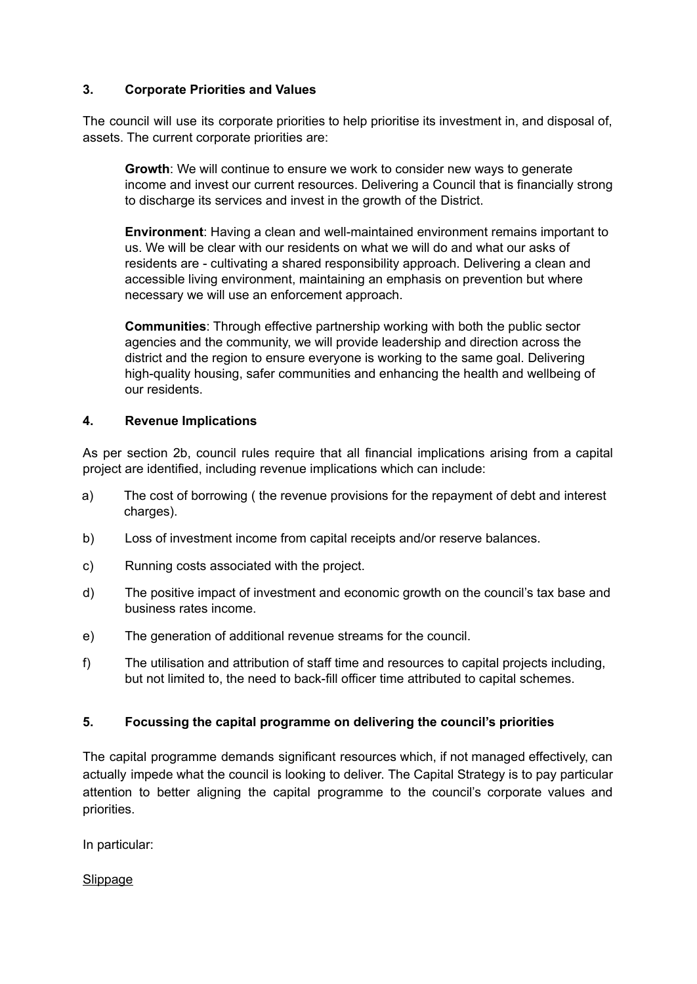# **3. Corporate Priorities and Values**

The council will use its corporate priorities to help prioritise its investment in, and disposal of, assets. The current corporate priorities are:

**Growth**: We will continue to ensure we work to consider new ways to generate income and invest our current resources. Delivering a Council that is financially strong to discharge its services and invest in the growth of the District.

**Environment**: Having a clean and well-maintained environment remains important to us. We will be clear with our residents on what we will do and what our asks of residents are - cultivating a shared responsibility approach. Delivering a clean and accessible living environment, maintaining an emphasis on prevention but where necessary we will use an enforcement approach.

**Communities**: Through effective partnership working with both the public sector agencies and the community, we will provide leadership and direction across the district and the region to ensure everyone is working to the same goal. Delivering high-quality housing, safer communities and enhancing the health and wellbeing of our residents.

## **4. Revenue Implications**

As per section 2b, council rules require that all financial implications arising from a capital project are identified, including revenue implications which can include:

- a) The cost of borrowing ( the revenue provisions for the repayment of debt and interest charges).
- b) Loss of investment income from capital receipts and/or reserve balances.
- c) Running costs associated with the project.
- d) The positive impact of investment and economic growth on the council's tax base and business rates income.
- e) The generation of additional revenue streams for the council.
- f) The utilisation and attribution of staff time and resources to capital projects including, but not limited to, the need to back-fill officer time attributed to capital schemes.

# **5. Focussing the capital programme on delivering the council's priorities**

The capital programme demands significant resources which, if not managed effectively, can actually impede what the council is looking to deliver. The Capital Strategy is to pay particular attention to better aligning the capital programme to the council's corporate values and priorities.

In particular:

Slippage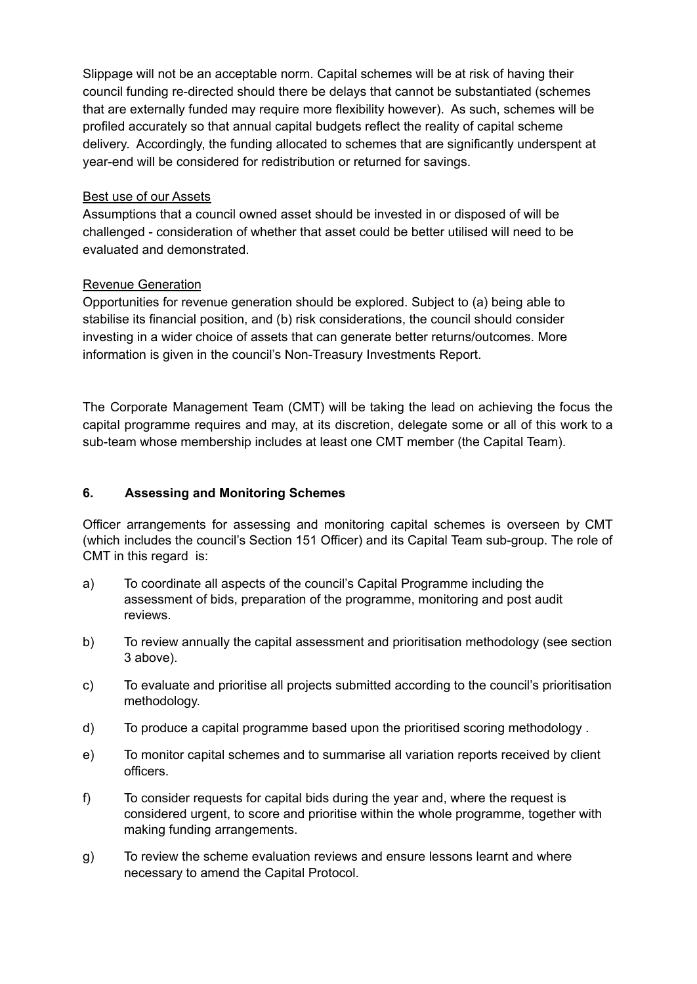Slippage will not be an acceptable norm. Capital schemes will be at risk of having their council funding re-directed should there be delays that cannot be substantiated (schemes that are externally funded may require more flexibility however). As such, schemes will be profiled accurately so that annual capital budgets reflect the reality of capital scheme delivery. Accordingly, the funding allocated to schemes that are significantly underspent at year-end will be considered for redistribution or returned for savings.

## Best use of our Assets

Assumptions that a council owned asset should be invested in or disposed of will be challenged - consideration of whether that asset could be better utilised will need to be evaluated and demonstrated.

## Revenue Generation

Opportunities for revenue generation should be explored. Subject to (a) being able to stabilise its financial position, and (b) risk considerations, the council should consider investing in a wider choice of assets that can generate better returns/outcomes. More information is given in the council's Non-Treasury Investments Report.

The Corporate Management Team (CMT) will be taking the lead on achieving the focus the capital programme requires and may, at its discretion, delegate some or all of this work to a sub-team whose membership includes at least one CMT member (the Capital Team).

## **6. Assessing and Monitoring Schemes**

Officer arrangements for assessing and monitoring capital schemes is overseen by CMT (which includes the council's Section 151 Officer) and its Capital Team sub-group. The role of CMT in this regard is:

- a) To coordinate all aspects of the council's Capital Programme including the assessment of bids, preparation of the programme, monitoring and post audit reviews.
- b) To review annually the capital assessment and prioritisation methodology (see section 3 above).
- c) To evaluate and prioritise all projects submitted according to the council's prioritisation methodology.
- d) To produce a capital programme based upon the prioritised scoring methodology .
- e) To monitor capital schemes and to summarise all variation reports received by client officers.
- f) To consider requests for capital bids during the year and, where the request is considered urgent, to score and prioritise within the whole programme, together with making funding arrangements.
- g) To review the scheme evaluation reviews and ensure lessons learnt and where necessary to amend the Capital Protocol.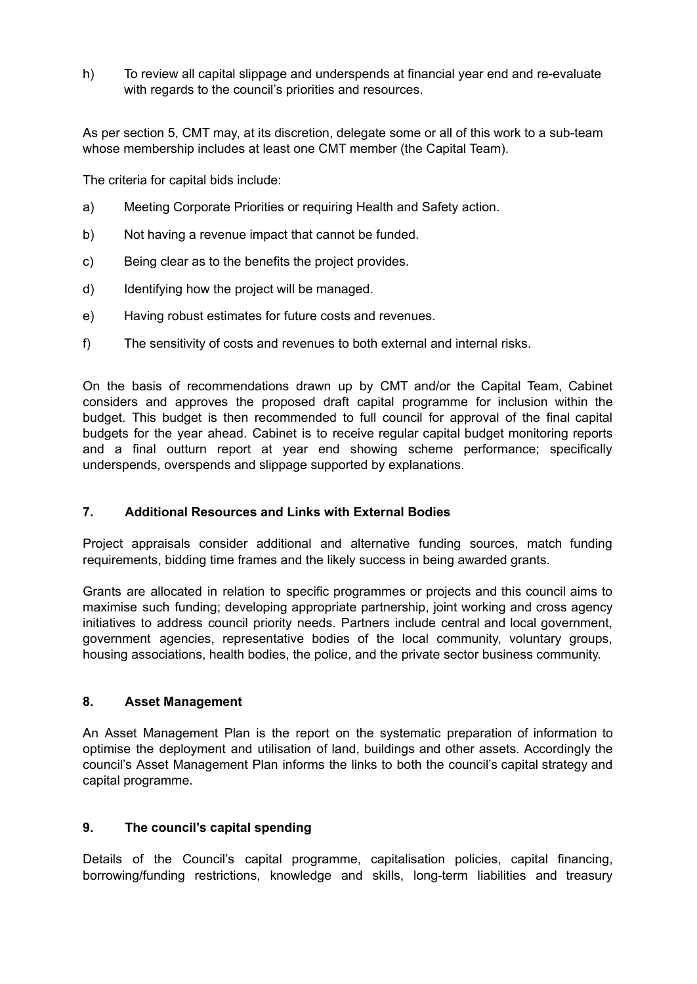h) To review all capital slippage and underspends at financial year end and re-evaluate with regards to the council's priorities and resources.

As per section 5, CMT may, at its discretion, delegate some or all of this work to a sub-team whose membership includes at least one CMT member (the Capital Team).

The criteria for capital bids include:

- a) Meeting Corporate Priorities or requiring Health and Safety action.
- b) Not having a revenue impact that cannot be funded.
- c) Being clear as to the benefits the project provides.
- d) Identifying how the project will be managed.
- e) Having robust estimates for future costs and revenues.
- f) The sensitivity of costs and revenues to both external and internal risks.

On the basis of recommendations drawn up by CMT and/or the Capital Team, Cabinet considers and approves the proposed draft capital programme for inclusion within the budget. This budget is then recommended to full council for approval of the final capital budgets for the year ahead. Cabinet is to receive regular capital budget monitoring reports and a final outturn report at year end showing scheme performance; specifically underspends, overspends and slippage supported by explanations.

#### **7. Additional Resources and Links with External Bodies**

Project appraisals consider additional and alternative funding sources, match funding requirements, bidding time frames and the likely success in being awarded grants.

Grants are allocated in relation to specific programmes or projects and this council aims to maximise such funding; developing appropriate partnership, joint working and cross agency initiatives to address council priority needs. Partners include central and local government, government agencies, representative bodies of the local community, voluntary groups, housing associations, health bodies, the police, and the private sector business community.

### **8. Asset Management**

An Asset Management Plan is the report on the systematic preparation of information to optimise the deployment and utilisation of land, buildings and other assets. Accordingly the council's Asset Management Plan informs the links to both the council's capital strategy and capital programme.

#### **9. The council's capital spending**

Details of the Council's capital programme, capitalisation policies, capital financing, borrowing/funding restrictions, knowledge and skills, long-term liabilities and treasury